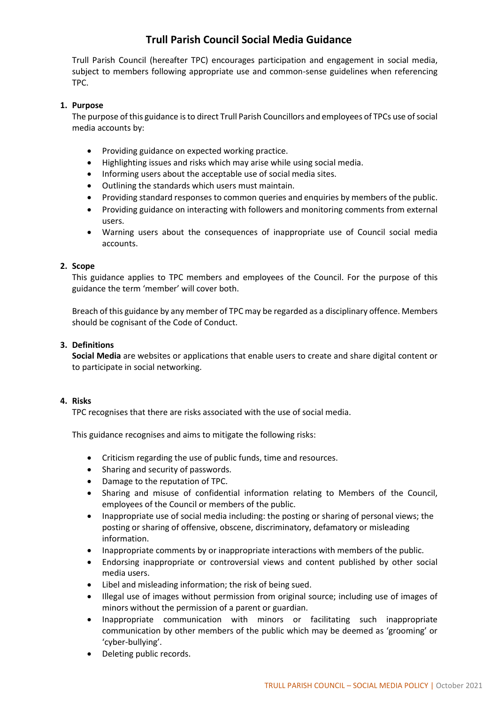# **Trull Parish Council Social Media Guidance**

Trull Parish Council (hereafter TPC) encourages participation and engagement in social media, subject to members following appropriate use and common-sense guidelines when referencing TPC.

# **1. Purpose**

The purpose of this guidance is to direct Trull Parish Councillors and employees of TPCs use of social media accounts by:

- Providing guidance on expected working practice.
- Highlighting issues and risks which may arise while using social media.
- Informing users about the acceptable use of social media sites.
- Outlining the standards which users must maintain.
- Providing standard responses to common queries and enquiries by members of the public.
- Providing guidance on interacting with followers and monitoring comments from external users.
- Warning users about the consequences of inappropriate use of Council social media accounts.

### **2. Scope**

This guidance applies to TPC members and employees of the Council. For the purpose of this guidance the term 'member' will cover both.

Breach of this guidance by any member of TPC may be regarded as a disciplinary offence. Members should be cognisant of the Code of Conduct.

### **3. Definitions**

**Social Media** are websites or applications that enable users to create and share digital content or to participate in social networking.

## **4. Risks**

TPC recognises that there are risks associated with the use of social media.

This guidance recognises and aims to mitigate the following risks:

- Criticism regarding the use of public funds, time and resources.
- Sharing and security of passwords.
- Damage to the reputation of TPC.
- Sharing and misuse of confidential information relating to Members of the Council, employees of the Council or members of the public.
- Inappropriate use of social media including: the posting or sharing of personal views; the posting or sharing of offensive, obscene, discriminatory, defamatory or misleading information.
- Inappropriate comments by or inappropriate interactions with members of the public.
- Endorsing inappropriate or controversial views and content published by other social media users.
- Libel and misleading information; the risk of being sued.
- Illegal use of images without permission from original source; including use of images of minors without the permission of a parent or guardian.
- Inappropriate communication with minors or facilitating such inappropriate communication by other members of the public which may be deemed as 'grooming' or 'cyber-bullying'.
- Deleting public records.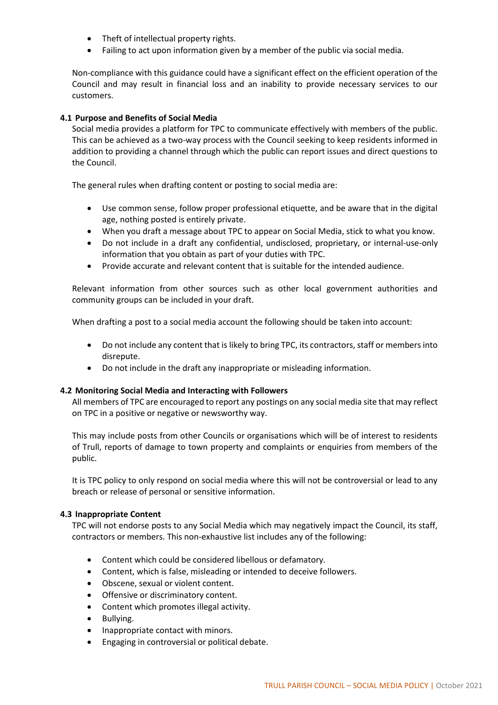- Theft of intellectual property rights.
- Failing to act upon information given by a member of the public via social media.

Non-compliance with this guidance could have a significant effect on the efficient operation of the Council and may result in financial loss and an inability to provide necessary services to our customers.

## **4.1 Purpose and Benefits of Social Media**

Social media provides a platform for TPC to communicate effectively with members of the public. This can be achieved as a two-way process with the Council seeking to keep residents informed in addition to providing a channel through which the public can report issues and direct questions to the Council.

The general rules when drafting content or posting to social media are:

- Use common sense, follow proper professional etiquette, and be aware that in the digital age, nothing posted is entirely private.
- When you draft a message about TPC to appear on Social Media, stick to what you know.
- Do not include in a draft any confidential, undisclosed, proprietary, or internal-use-only information that you obtain as part of your duties with TPC.
- Provide accurate and relevant content that is suitable for the intended audience.

Relevant information from other sources such as other local government authorities and community groups can be included in your draft.

When drafting a post to a social media account the following should be taken into account:

- Do not include any content that is likely to bring TPC, its contractors, staff or members into disrepute.
- Do not include in the draft any inappropriate or misleading information.

### **4.2 Monitoring Social Media and Interacting with Followers**

All members of TPC are encouraged to report any postings on any social media site that may reflect on TPC in a positive or negative or newsworthy way.

This may include posts from other Councils or organisations which will be of interest to residents of Trull, reports of damage to town property and complaints or enquiries from members of the public.

It is TPC policy to only respond on social media where this will not be controversial or lead to any breach or release of personal or sensitive information.

### **4.3 Inappropriate Content**

TPC will not endorse posts to any Social Media which may negatively impact the Council, its staff, contractors or members. This non-exhaustive list includes any of the following:

- Content which could be considered libellous or defamatory.
- Content, which is false, misleading or intended to deceive followers.
- Obscene, sexual or violent content.
- Offensive or discriminatory content.
- Content which promotes illegal activity.
- Bullying.
- Inappropriate contact with minors.
- Engaging in controversial or political debate.